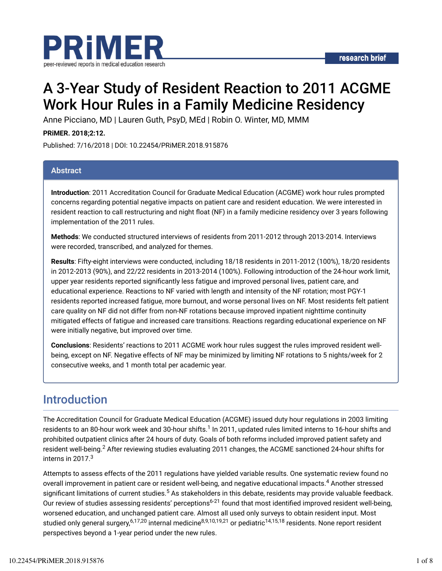

# A 3-Year Study of Resident Reaction to 2011 ACGME Work Hour Rules in a Family Medicine Residency

Anne Picciano, MD | Lauren Guth, PsyD, MEd | Robin O. Winter, MD, MMM

**PRiMER. 2018;2:12.**

Published: 7/16/2018 | DOI: 10.22454/PRiMER.2018.915876

### **Abstract**

**Introduction**: 2011 Accreditation Council for Graduate Medical Education (ACGME) work hour rules prompted concerns regarding potential negative impacts on patient care and resident education. We were interested in resident reaction to call restructuring and night float (NF) in a family medicine residency over 3 years following implementation of the 2011 rules.

**Methods**: We conducted structured interviews of residents from 2011-2012 through 2013-2014. Interviews were recorded, transcribed, and analyzed for themes.

**Results**: Fifty-eight interviews were conducted, including 18/18 residents in 2011-2012 (100%), 18/20 residents in 2012-2013 (90%), and 22/22 residents in 2013-2014 (100%). Following introduction of the 24-hour work limit, upper year residents reported significantly less fatigue and improved personal lives, patient care, and educational experience. Reactions to NF varied with length and intensity of the NF rotation; most PGY-1 residents reported increased fatigue, more burnout, and worse personal lives on NF. Most residents felt patient care quality on NF did not differ from non-NF rotations because improved inpatient nighttime continuity mitigated effects of fatigue and increased care transitions. Reactions regarding educational experience on NF were initially negative, but improved over time.

**Conclusions**: Residents' reactions to 2011 ACGME work hour rules suggest the rules improved resident wellbeing, except on NF. Negative effects of NF may be minimized by limiting NF rotations to 5 nights/week for 2 consecutive weeks, and 1 month total per academic year.

# Introduction

The Accreditation Council for Graduate Medical Education (ACGME) issued duty hour regulations in 2003 limiting residents to an 80-hour work week and 30-hour shifts. $^1$  In 2011, updated rules limited interns to 16-hour shifts and prohibited outpatient clinics after 24 hours of duty. Goals of both reforms included improved patient safety and resident well-being. $^2$  After reviewing studies evaluating 2011 changes, the ACGME sanctioned 24-hour shifts for interns in 2017. $^3$ 

Attempts to assess effects of the 2011 regulations have yielded variable results. One systematic review found no overall improvement in patient care or resident well-being, and negative educational impacts. $^4$  Another stressed significant limitations of current studies.<sup>5</sup> As stakeholders in this debate, residents may provide valuable feedback. Our review of studies assessing residents' perceptions<sup>6-21</sup> found that most identified improved resident well-being, worsened education, and unchanged patient care. Almost all used only surveys to obtain resident input. Most studied only general surgery,<sup>6,17,20</sup> internal medicine<sup>8,9,10,19,21</sup> or pediatric<sup>14,15,18</sup> residents. None report resident perspectives beyond a 1-year period under the new rules.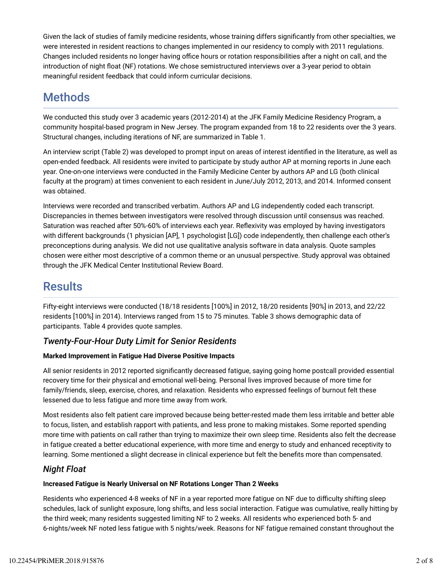Given the lack of studies of family medicine residents, whose training differs significantly from other specialties, we were interested in resident reactions to changes implemented in our residency to comply with 2011 regulations. Changes included residents no longer having office hours or rotation responsibilities after a night on call, and the introduction of night float (NF) rotations. We chose semistructured interviews over a 3-year period to obtain meaningful resident feedback that could inform curricular decisions.

# **Methods**

We conducted this study over 3 academic years (2012-2014) at the JFK Family Medicine Residency Program, a community hospital-based program in New Jersey. The program expanded from 18 to 22 residents over the 3 years. Structural changes, including iterations of NF, are summarized in Table 1.

An interview script (Table 2) was developed to prompt input on areas of interest identified in the literature, as well as open-ended feedback. All residents were invited to participate by study author AP at morning reports in June each year. One-on-one interviews were conducted in the Family Medicine Center by authors AP and LG (both clinical faculty at the program) at times convenient to each resident in June/July 2012, 2013, and 2014. Informed consent was obtained.

Interviews were recorded and transcribed verbatim. Authors AP and LG independently coded each transcript. Discrepancies in themes between investigators were resolved through discussion until consensus was reached. Saturation was reached after 50%-60% of interviews each year. Reflexivity was employed by having investigators with different backgrounds (1 physician [AP], 1 psychologist [LG]) code independently, then challenge each other's preconceptions during analysis. We did not use qualitative analysis software in data analysis. Quote samples chosen were either most descriptive of a common theme or an unusual perspective. Study approval was obtained through the JFK Medical Center Institutional Review Board.

# **Results**

Fifty-eight interviews were conducted (18/18 residents [100%] in 2012, 18/20 residents [90%] in 2013, and 22/22 residents [100%] in 2014). Interviews ranged from 15 to 75 minutes. Table 3 shows demographic data of participants. Table 4 provides quote samples.

# *Twenty-Four-Hour Duty Limit for Senior Residents*

### **Marked Improvement in Fatigue Had Diverse Positive Impacts**

All senior residents in 2012 reported significantly decreased fatigue, saying going home postcall provided essential recovery time for their physical and emotional well-being. Personal lives improved because of more time for family/friends, sleep, exercise, chores, and relaxation. Residents who expressed feelings of burnout felt these lessened due to less fatigue and more time away from work.

Most residents also felt patient care improved because being better-rested made them less irritable and better able to focus, listen, and establish rapport with patients, and less prone to making mistakes. Some reported spending more time with patients on call rather than trying to maximize their own sleep time. Residents also felt the decrease in fatigue created a better educational experience, with more time and energy to study and enhanced receptivity to learning. Some mentioned a slight decrease in clinical experience but felt the benefits more than compensated.

# *Night Float*

### **Increased Fatigue is Nearly Universal on NF Rotations Longer Than 2 Weeks**

Residents who experienced 4-8 weeks of NF in a year reported more fatigue on NF due to difficulty shifting sleep schedules, lack of sunlight exposure, long shifts, and less social interaction. Fatigue was cumulative, really hitting by the third week; many residents suggested limiting NF to 2 weeks. All residents who experienced both 5- and 6-nights/week NF noted less fatigue with 5 nights/week. Reasons for NF fatigue remained constant throughout the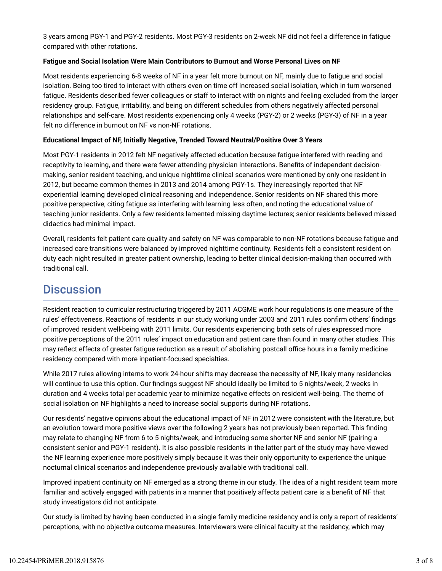3 years among PGY-1 and PGY-2 residents. Most PGY-3 residents on 2-week NF did not feel a difference in fatigue compared with other rotations.

#### **Fatigue and Social Isolation Were Main Contributors to Burnout and Worse Personal Lives on NF**

Most residents experiencing 6-8 weeks of NF in a year felt more burnout on NF, mainly due to fatigue and social isolation. Being too tired to interact with others even on time off increased social isolation, which in turn worsened fatigue. Residents described fewer colleagues or staff to interact with on nights and feeling excluded from the larger residency group. Fatigue, irritability, and being on different schedules from others negatively affected personal relationships and self-care. Most residents experiencing only 4 weeks (PGY-2) or 2 weeks (PGY-3) of NF in a year felt no difference in burnout on NF vs non-NF rotations.

#### **Educational Impact of NF, Initially Negative, Trended Toward Neutral/Positive Over 3 Years**

Most PGY-1 residents in 2012 felt NF negatively affected education because fatigue interfered with reading and receptivity to learning, and there were fewer attending physician interactions. Benefits of independent decisionmaking, senior resident teaching, and unique nighttime clinical scenarios were mentioned by only one resident in 2012, but became common themes in 2013 and 2014 among PGY-1s. They increasingly reported that NF experiential learning developed clinical reasoning and independence. Senior residents on NF shared this more positive perspective, citing fatigue as interfering with learning less often, and noting the educational value of teaching junior residents. Only a few residents lamented missing daytime lectures; senior residents believed missed didactics had minimal impact.

Overall, residents felt patient care quality and safety on NF was comparable to non-NF rotations because fatigue and increased care transitions were balanced by improved nighttime continuity. Residents felt a consistent resident on duty each night resulted in greater patient ownership, leading to better clinical decision-making than occurred with traditional call.

# **Discussion**

Resident reaction to curricular restructuring triggered by 2011 ACGME work hour regulations is one measure of the rules' effectiveness. Reactions of residents in our study working under 2003 and 2011 rules confirm others' findings of improved resident well-being with 2011 limits. Our residents experiencing both sets of rules expressed more positive perceptions of the 2011 rules' impact on education and patient care than found in many other studies. This may reflect effects of greater fatigue reduction as a result of abolishing postcall office hours in a family medicine residency compared with more inpatient-focused specialties.

While 2017 rules allowing interns to work 24-hour shifts may decrease the necessity of NF, likely many residencies will continue to use this option. Our findings suggest NF should ideally be limited to 5 nights/week, 2 weeks in duration and 4 weeks total per academic year to minimize negative effects on resident well-being. The theme of social isolation on NF highlights a need to increase social supports during NF rotations.

Our residents' negative opinions about the educational impact of NF in 2012 were consistent with the literature, but an evolution toward more positive views over the following 2 years has not previously been reported. This finding may relate to changing NF from 6 to 5 nights/week, and introducing some shorter NF and senior NF (pairing a consistent senior and PGY-1 resident). It is also possible residents in the latter part of the study may have viewed the NF learning experience more positively simply because it was their only opportunity to experience the unique nocturnal clinical scenarios and independence previously available with traditional call.

Improved inpatient continuity on NF emerged as a strong theme in our study. The idea of a night resident team more familiar and actively engaged with patients in a manner that positively affects patient care is a benefit of NF that study investigators did not anticipate.

Our study is limited by having been conducted in a single family medicine residency and is only a report of residents' perceptions, with no objective outcome measures. Interviewers were clinical faculty at the residency, which may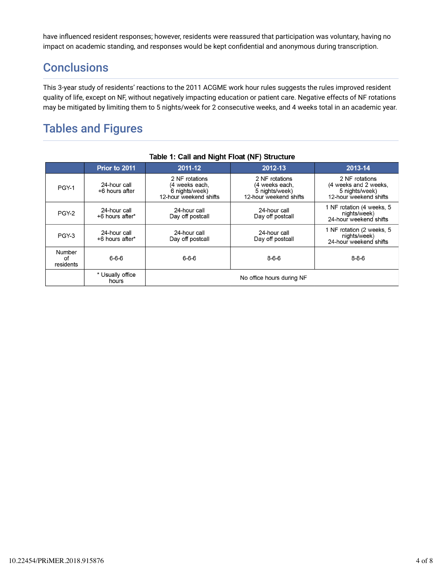have influenced resident responses; however, residents were reassured that participation was voluntary, having no impact on academic standing, and responses would be kept confidential and anonymous during transcription.

# **Conclusions**

This 3-year study of residents' reactions to the 2011 ACGME work hour rules suggests the rules improved resident quality of life, except on NF, without negatively impacting education or patient care. Negative effects of NF rotations may be mitigated by limiting them to 5 nights/week for 2 consecutive weeks, and 4 weeks total in an academic year.

# Tables and Figures

| $1$ abic $1.$ Call and Night Float (NF) Structure |                                 |                                                                              |                                                                              |                                                                                     |  |  |
|---------------------------------------------------|---------------------------------|------------------------------------------------------------------------------|------------------------------------------------------------------------------|-------------------------------------------------------------------------------------|--|--|
|                                                   | Prior to 2011                   | 2011-12                                                                      | 2012-13                                                                      | 2013-14                                                                             |  |  |
| PGY-1                                             | 24-hour call<br>+6 hours after  | 2 NF rotations<br>(4 weeks each,<br>6 nights/week)<br>12-hour weekend shifts | 2 NF rotations<br>(4 weeks each,<br>5 nights/week)<br>12-hour weekend shifts | 2 NF rotations<br>(4 weeks and 2 weeks,<br>5 nights/week)<br>12-hour weekend shifts |  |  |
| PGY-2                                             | 24-hour call<br>+6 hours after* | 24-hour call<br>Day off postcall                                             | 24-hour call<br>Day off postcall                                             | 1 NF rotation (4 weeks, 5<br>nights/week)<br>24-hour weekend shifts                 |  |  |
| PGY-3                                             | 24-hour call<br>+6 hours after* | 24-hour call<br>Day off postcall                                             | 24-hour call<br>Day off postcall                                             | 1 NF rotation (2 weeks, 5<br>nights/week)<br>24-hour weekend shifts                 |  |  |
| <b>Number</b><br>οf<br>residents                  | $6 - 6 - 6$                     | $6 - 6 - 6$                                                                  | $8 - 6 - 6$                                                                  | $8 - 8 - 6$                                                                         |  |  |
|                                                   | * Usually office<br>hours       | No office hours during NF                                                    |                                                                              |                                                                                     |  |  |

#### Table 1: Call and Night Float (NE) Structure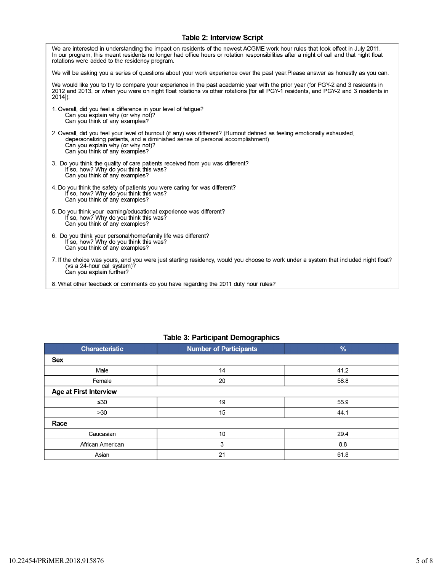### Table 2: Interview Script

| We are interested in understanding the impact on residents of the newest ACGME work hour rules that took effect in July 2011.<br>In our program, this meant residents no longer had office hours or rotation responsibilities after a night of call and that night float<br>rotations were added to the residency program. |
|----------------------------------------------------------------------------------------------------------------------------------------------------------------------------------------------------------------------------------------------------------------------------------------------------------------------------|
| We will be asking you a series of questions about your work experience over the past year.Please answer as honestly as you can.                                                                                                                                                                                            |
| We would like you to try to compare your experience in the past academic year with the prior year (for PGY-2 and 3 residents in<br>2012 and 2013, or when you were on night float rotations vs other rotations [for all PGY-1 residents, and PGY-2 and 3 residents in<br>$2014$ ]):                                        |
| 1. Overall, did you feel a difference in your level of fatigue?<br>Can you explain why (or why not)?<br>Can you think of any examples?                                                                                                                                                                                     |
| 2. Overall, did you feel your level of burnout (if any) was different? (Burnout defined as feeling emotionally exhausted,<br>depersonalizing patients, and a diminished sense of personal accomplishment)<br>Can you explain why (or why not)?<br>Can you think of any examples?                                           |
| 3. Do you think the quality of care patients received from you was different?<br>If so, how? Why do you think this was?<br>Can you think of any examples?                                                                                                                                                                  |
| 4. Do you think the safety of patients you were caring for was different?<br>If so, how? Why do you think this was?<br>Can you think of any examples?                                                                                                                                                                      |
| 5. Do you think your learning/educational experience was different?<br>If so, how? Why do you think this was?<br>Can you think of any examples?                                                                                                                                                                            |
| 6. Do you think your personal/home/family life was different?<br>If so, how? Why do you think this was?<br>Can you think of any examples?                                                                                                                                                                                  |
| 7. If the choice was yours, and you were just starting residency, would you choose to work under a system that included night float?<br>(vs a 24-hour call system)?<br>Can you explain further?                                                                                                                            |
| 8. What other feedback or comments do you have regarding the 2011 duty hour rules?                                                                                                                                                                                                                                         |

#### **Table 3: Participant Demographics**

| <b>Characteristic</b>         | $\tilde{\phantom{a}}$<br><b>Number of Participants</b> | $\frac{9}{6}$ |  |  |
|-------------------------------|--------------------------------------------------------|---------------|--|--|
| <b>Sex</b>                    |                                                        |               |  |  |
| Male                          | 14                                                     | 41.2          |  |  |
| Female                        | 20                                                     | 58.8          |  |  |
| <b>Age at First Interview</b> |                                                        |               |  |  |
| ≤30                           | 19                                                     | 55.9          |  |  |
| >30                           | 15                                                     | 44.1          |  |  |
| Race                          |                                                        |               |  |  |
| Caucasian                     | 10                                                     | 29.4          |  |  |
| African American              | 3                                                      | 8.8           |  |  |
| Asian                         | 21                                                     | 61.8          |  |  |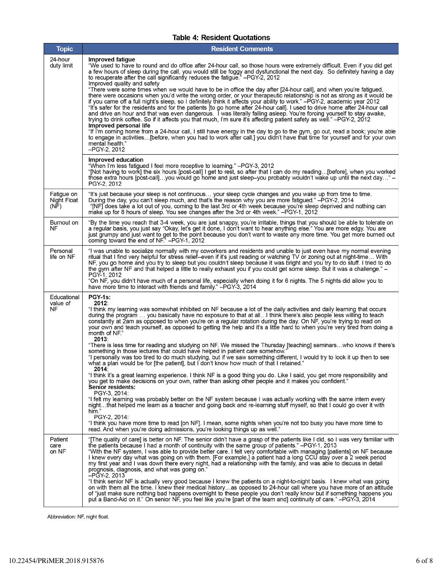#### **Table 4: Resident Quotations**

| <b>Topic</b>                      | <b>Resident Comments</b>                                                                                                                                                                                                                                                                                                                                                                                                                                                                                                                                                                                                                                                                                                                                                                                                                                                                                                                                                                                                                                                                                                                                                                                                                                                                                                                                                                                                                                                                                                                                                                                                                                                                                                                    |  |  |  |  |
|-----------------------------------|---------------------------------------------------------------------------------------------------------------------------------------------------------------------------------------------------------------------------------------------------------------------------------------------------------------------------------------------------------------------------------------------------------------------------------------------------------------------------------------------------------------------------------------------------------------------------------------------------------------------------------------------------------------------------------------------------------------------------------------------------------------------------------------------------------------------------------------------------------------------------------------------------------------------------------------------------------------------------------------------------------------------------------------------------------------------------------------------------------------------------------------------------------------------------------------------------------------------------------------------------------------------------------------------------------------------------------------------------------------------------------------------------------------------------------------------------------------------------------------------------------------------------------------------------------------------------------------------------------------------------------------------------------------------------------------------------------------------------------------------|--|--|--|--|
| 24-hour<br>duty limit             | Improved fatique<br>"We used to have to round and do office after 24-hour call, so those hours were extremely difficult. Even if you did get<br>a few hours of sleep during the call, you would still be foggy and dysfunctional the next day. So definitely having a day<br>to recuperate after the call significantly reduces the fatigue." -PGY-2, 2012<br>Improved quality and safety<br>"There were some times when we would have to be in office the day after [24-hour call], and when you're fatigued,<br>there were occasions when you'd write the wrong order, or your therapeutic relationship is not as strong as it would be<br>if you came off a full night's sleep, so I definitely think it affects your ability to work." -PGY-2, academic year 2012<br>"It's safer for the residents and for the patients [to go home after 24-hour call]. I used to drive home after 24-hour call<br>and drive an hour and that was even dangerous. I was literally falling asleep. You're forcing yourself to stay awake,<br>trying to drink coffee. So if it affects you that much, I'm sure it's affecting patient safety as well." -PGY-2, 2012<br>Improved personal life<br>"If I'm coming home from a 24-hour call, I still have energy in the day to go to the gym, go out, read a book; you're able<br>to engage in activities [before, when you had to work after call,] you didn't have that time for yourself and for your own<br>mental health."<br>-PGY-2, 2012                                                                                                                                                                                                                                                             |  |  |  |  |
|                                   | Improved education<br>"When I'm less fatigued I feel more receptive to learning." - PGY-3, 2012<br>"[Not having to work] the six hours [post-call] I get to rest, so after that I can do my reading[before], when you worked<br>those extra hours [post-call]you would go home and just sleep-you probably wouldn't wake up until the next day" -<br>PGY-2, 2012                                                                                                                                                                                                                                                                                                                                                                                                                                                                                                                                                                                                                                                                                                                                                                                                                                                                                                                                                                                                                                                                                                                                                                                                                                                                                                                                                                            |  |  |  |  |
| Fatigue on<br>Night Float<br>(NF) | "It's just because your sleep is not continuous your sleep cycle changes and you wake up from time to time.<br>During the day, you can't sleep much, and that's the reason why you are more fatigued." -PGY-2, 2014<br>"[NF] does take a lot out of you, coming to the last 3rd or 4th week because you're sleep deprived and nothing can<br>make up for 8 hours of sleep. You see changes after the 3rd or 4th week." - PGY 1, 2012                                                                                                                                                                                                                                                                                                                                                                                                                                                                                                                                                                                                                                                                                                                                                                                                                                                                                                                                                                                                                                                                                                                                                                                                                                                                                                        |  |  |  |  |
| Burnout on<br>NF                  | "By the time you reach that 3-4 week, you are just snappy, you're irritable, things that you should be able to tolerate on<br>a regular basis, you just say "Okay, let's get it done, I don't want to hear anything else." You are more edgy. You are<br>just grumpy and just want to get to the point because you don't want to waste any more time. You get more burned out<br>coming toward the end of NF." -PGY-1, 2012                                                                                                                                                                                                                                                                                                                                                                                                                                                                                                                                                                                                                                                                                                                                                                                                                                                                                                                                                                                                                                                                                                                                                                                                                                                                                                                 |  |  |  |  |
| Personal<br>life on NF            | "I was unable to socialize normally with my coworkers and residents and unable to just even have my normal evening<br>ritual that I find very helpful for stress relief--even if it's just reading or watching TV or zoning out at night-time With<br>NF, you go home and you try to sleep but you couldn't sleep because it was bright and you try to do stuff. I tried to do<br>the gym after NF and that helped a little to really exhaust you if you could get some sleep. But it was a challenge." -<br>PGY-1, 2012<br>"On NF, you didn't have much of a personal life, especially when doing it for 6 nights. The 5 nights did allow you to<br>have more time to interact with friends and family." -PGY-3, 2014                                                                                                                                                                                                                                                                                                                                                                                                                                                                                                                                                                                                                                                                                                                                                                                                                                                                                                                                                                                                                      |  |  |  |  |
| Educational<br>value of<br>NF     | PGY-1s:<br>2012:<br>"I think my learning was somewhat inhibited on NF because a lot of the daily activities and daily learning that occurs<br>during the program  you basically have no exposure to that at all I think there's also people less willing to teach<br>constantly at 2am as opposed to when you're on a regular rotation during the day. On NF, you're trying to read on<br>your own and teach yourself, as opposed to getting the help and it's a little hard to when you're very tired from doing a<br>month of NF."<br>2013:<br>"There is less time for reading and studying on NF. We missed the Thursday [teaching] seminarswho knows if there's<br>something in those lectures that could have helped in patient care somehow.'<br>"I personally was too tired to do much studying, but if we saw something different, I would try to look it up then to see<br>what a plan would be for [the patient], but I don't know how much of that I retained."<br>2014:<br>"I think it's a great learning experience. I think NF is a good thing you do. Like I said, you get more responsibility and<br>you get to make decisions on your own, rather than asking other people and it makes you confident."<br><b>Senior residents:</b><br>PGY-3, 2014:<br>"I felt my learning was probably better on the NF system because I was actually working with the same intern every<br>nightthat helped me learn as a teacher and going back and re-learning stuff myself, so that I could go over it with<br>him."<br>PGY-2, 2014:<br>"I think you have more time to read [on NF]. I mean, some nights when you're not too busy you have more time to<br>read. And when you're doing admissions, you're looking things up as well." |  |  |  |  |
| Patient<br>care<br>on NF          | "The quality of care] is better on NF. The senior didn't have a grasp of the patients like I did, so I was very familiar with<br>the patients because I had a month of continuity with the same group of patients." –PGY-1, 2013<br>"With the NF system, I was able to provide better care. I felt very comfortable with managing [patients] on NF because<br>I knew every day what was going on with them. [For example,] a patient had a long CCU stay over a 2 week period<br>my first year and I was down there every night, had a relationship with the family, and was able to discuss in detail<br>prognosis, diagnosis, and what was going on."<br>–PGY 2, 2013<br>"I think senior NF is actually very good because I knew the patients on a night-to-night basis. I knew what was going<br>on with them all the time. I knew their medical historyas opposed to 24-hour call where you have more of an attitude<br>of "just make sure nothing bad happens overnight to these people you don't really know but if something happens you<br>put a Band-Aid on it." On senior NF, you feel like you're [part of the team and] continuity of care." -PGY-3, 2014                                                                                                                                                                                                                                                                                                                                                                                                                                                                                                                                                                       |  |  |  |  |

Abbreviation: NF, night float.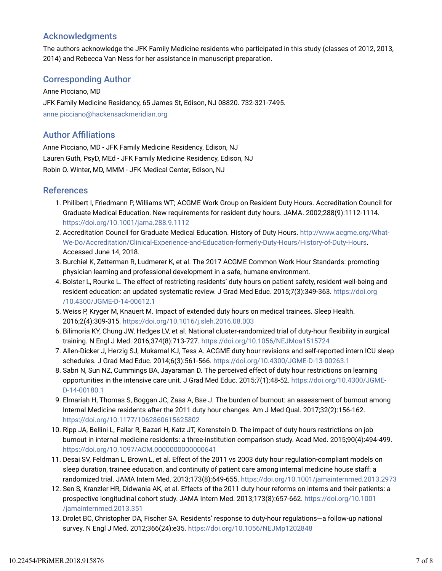## Acknowledgments

The authors acknowledge the JFK Family Medicine residents who participated in this study (classes of 2012, 2013, 2014) and Rebecca Van Ness for her assistance in manuscript preparation.

## Corresponding Author

Anne Picciano, MD JFK Family Medicine Residency, 65 James St, Edison, NJ 08820. 732-321-7495. anne.picciano@hackensackmeridian.org

### **Author Affiliations**

Anne Picciano, MD - JFK Family Medicine Residency, Edison, NJ Lauren Guth, PsyD, MEd - JFK Family Medicine Residency, Edison, NJ Robin O. Winter, MD, MMM - JFK Medical Center, Edison, NJ

### References

- 1. Philibert I, Friedmann P, Williams WT; ACGME Work Group on Resident Duty Hours. Accreditation Council for Graduate Medical Education. New requirements for resident duty hours. JAMA. 2002;288(9):1112-1114. https://doi.org/10.1001/jama.288.9.1112
- 2. Accreditation Council for Graduate Medical Education. History of Duty Hours. http://www.acgme.org/What-We-Do/Accreditation/Clinical-Experience-and-Education-formerly-Duty-Hours/History-of-Duty-Hours. Accessed June 14, 2018.
- 3. Burchiel K, Zetterman R, Ludmerer K, et al. The 2017 ACGME Common Work Hour Standards: promoting physician learning and professional development in a safe, humane environment.
- 4. Bolster L, Rourke L. The effect of restricting residents' duty hours on patient safety, resident well-being and resident education: an updated systematic review. J Grad Med Educ. 2015;7(3):349-363. https://doi.org /10.4300/JGME-D-14-00612.1
- 5. Weiss P, Kryger M, Knauert M. Impact of extended duty hours on medical trainees. Sleep Health. 2016;2(4):309-315. https://doi.org/10.1016/j.sleh.2016.08.003
- 6. Bilimoria KY, Chung JW, Hedges LV, et al. National cluster-randomized trial of duty-hour flexibility in surgical training. N Engl J Med. 2016;374(8):713-727. https://doi.org/10.1056/NEJMoa1515724
- 7. Allen-Dicker J, Herzig SJ, Mukamal KJ, Tess A. ACGME duty hour revisions and self-reported intern ICU sleep schedules. J Grad Med Educ. 2014;6(3):561-566. https://doi.org/10.4300/JGME-D-13-00263.1
- Sabri N, Sun NZ, Cummings BA, Jayaraman D. The perceived effect of duty hour restrictions on learning 8. opportunities in the intensive care unit. J Grad Med Educ. 2015;7(1):48-52. https://doi.org/10.4300/JGME-D-14-00180.1
- Elmariah H, Thomas S, Boggan JC, Zaas A, Bae J. The burden of burnout: an assessment of burnout among 9. Internal Medicine residents after the 2011 duty hour changes. Am J Med Qual. 2017;32(2):156-162. https://doi.org/10.1177/1062860615625802
- 10. Ripp JA, Bellini L, Fallar R, Bazari H, Katz JT, Korenstein D. The impact of duty hours restrictions on job burnout in internal medicine residents: a three-institution comparison study. Acad Med. 2015;90(4):494-499. https://doi.org/10.1097/ACM.0000000000000641
- 11. Desai SV, Feldman L, Brown L, et al. Effect of the 2011 vs 2003 duty hour regulation-compliant models on sleep duration, trainee education, and continuity of patient care among internal medicine house staff: a randomized trial. JAMA Intern Med. 2013;173(8):649-655. https://doi.org/10.1001/jamainternmed.2013.2973
- 12. Sen S, Kranzler HR, Didwania AK, et al. Effects of the 2011 duty hour reforms on interns and their patients: a prospective longitudinal cohort study. JAMA Intern Med. 2013;173(8):657-662. https://doi.org/10.1001 /jamainternmed.2013.351
- 13. Drolet BC, Christopher DA, Fischer SA. Residents' response to duty-hour regulations—a follow-up national survey. N Engl J Med. 2012;366(24):e35. https://doi.org/10.1056/NEJMp1202848